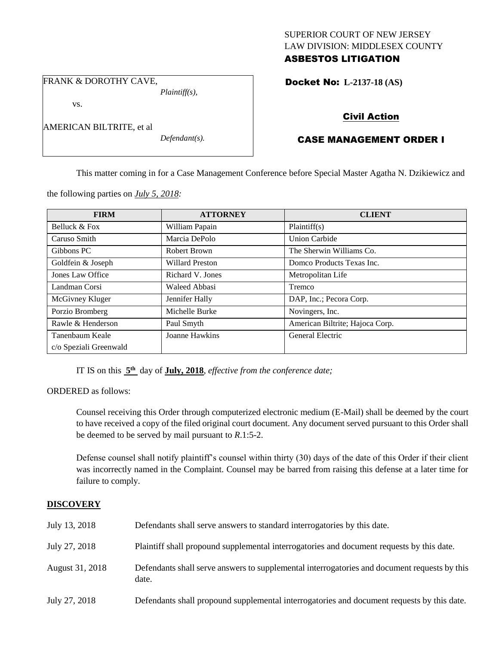## SUPERIOR COURT OF NEW JERSEY LAW DIVISION: MIDDLESEX COUNTY ASBESTOS LITIGATION

Docket No: **L-2137-18 (AS)** 

FRANK & DOROTHY CAVE,

AMERICAN BILTRITE, et al

vs.

*Plaintiff(s),*

*Defendant(s).*

Civil Action

# CASE MANAGEMENT ORDER I

This matter coming in for a Case Management Conference before Special Master Agatha N. Dzikiewicz and

the following parties on *July 5, 2018:*

| <b>FIRM</b>            | <b>ATTORNEY</b>  | <b>CLIENT</b>                   |
|------------------------|------------------|---------------------------------|
| Belluck & Fox          | William Papain   | Plaintiff(s)                    |
| Caruso Smith           | Marcia DePolo    | <b>Union Carbide</b>            |
| Gibbons PC             | Robert Brown     | The Sherwin Williams Co.        |
| Goldfein & Joseph      | Willard Preston  | Domco Products Texas Inc.       |
| Jones Law Office       | Richard V. Jones | Metropolitan Life               |
| Landman Corsi          | Waleed Abbasi    | Tremco                          |
| McGivney Kluger        | Jennifer Hally   | DAP, Inc.; Pecora Corp.         |
| Porzio Bromberg        | Michelle Burke   | Novingers, Inc.                 |
| Rawle & Henderson      | Paul Smyth       | American Biltrite; Hajoca Corp. |
| Tanenbaum Keale        | Joanne Hawkins   | General Electric                |
| c/o Speziali Greenwald |                  |                                 |

IT IS on this  $5<sup>th</sup>$  day of **July, 2018**, *effective from the conference date*;

ORDERED as follows:

Counsel receiving this Order through computerized electronic medium (E-Mail) shall be deemed by the court to have received a copy of the filed original court document. Any document served pursuant to this Order shall be deemed to be served by mail pursuant to *R*.1:5-2.

Defense counsel shall notify plaintiff's counsel within thirty (30) days of the date of this Order if their client was incorrectly named in the Complaint. Counsel may be barred from raising this defense at a later time for failure to comply.

## **DISCOVERY**

| July 13, 2018   | Defendants shall serve answers to standard interrogatories by this date.                              |
|-----------------|-------------------------------------------------------------------------------------------------------|
| July 27, 2018   | Plaintiff shall propound supplemental interrogatories and document requests by this date.             |
| August 31, 2018 | Defendants shall serve answers to supplemental interrogatories and document requests by this<br>date. |
| July 27, 2018   | Defendants shall propound supplemental interrogatories and document requests by this date.            |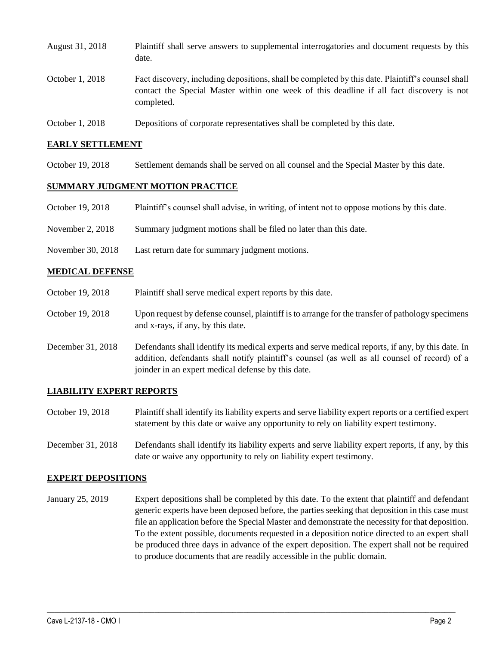| August 31, 2018 | Plaintiff shall serve answers to supplemental interrogatories and document requests by this<br>date.                                                                                                        |
|-----------------|-------------------------------------------------------------------------------------------------------------------------------------------------------------------------------------------------------------|
| October 1, 2018 | Fact discovery, including depositions, shall be completed by this date. Plaintiff's counsel shall<br>contact the Special Master within one week of this deadline if all fact discovery is not<br>completed. |
| October 1, 2018 | Depositions of corporate representatives shall be completed by this date.                                                                                                                                   |

## **EARLY SETTLEMENT**

October 19, 2018 Settlement demands shall be served on all counsel and the Special Master by this date.

## **SUMMARY JUDGMENT MOTION PRACTICE**

- October 19, 2018 Plaintiff's counsel shall advise, in writing, of intent not to oppose motions by this date.
- November 2, 2018 Summary judgment motions shall be filed no later than this date.
- November 30, 2018 Last return date for summary judgment motions.

## **MEDICAL DEFENSE**

- October 19, 2018 Plaint if shall serve medical expert reports by this date.
- October 19, 2018 Upon request by defense counsel, plaintiff is to arrange for the transfer of pathology specimens and x-rays, if any, by this date.
- December 31, 2018 Defendants shall identify its medical experts and serve medical reports, if any, by this date. In addition, defendants shall notify plaintiff's counsel (as well as all counsel of record) of a joinder in an expert medical defense by this date.

### **LIABILITY EXPERT REPORTS**

- October 19, 2018 Plaintiff shall identify its liability experts and serve liability expert reports or a certified expert statement by this date or waive any opportunity to rely on liability expert testimony.
- December 31, 2018 Defendants shall identify its liability experts and serve liability expert reports, if any, by this date or waive any opportunity to rely on liability expert testimony.

### **EXPERT DEPOSITIONS**

January 25, 2019 Expert depositions shall be completed by this date. To the extent that plaintiff and defendant generic experts have been deposed before, the parties seeking that deposition in this case must file an application before the Special Master and demonstrate the necessity for that deposition. To the extent possible, documents requested in a deposition notice directed to an expert shall be produced three days in advance of the expert deposition. The expert shall not be required to produce documents that are readily accessible in the public domain.

 $\_$  ,  $\_$  ,  $\_$  ,  $\_$  ,  $\_$  ,  $\_$  ,  $\_$  ,  $\_$  ,  $\_$  ,  $\_$  ,  $\_$  ,  $\_$  ,  $\_$  ,  $\_$  ,  $\_$  ,  $\_$  ,  $\_$  ,  $\_$  ,  $\_$  ,  $\_$  ,  $\_$  ,  $\_$  ,  $\_$  ,  $\_$  ,  $\_$  ,  $\_$  ,  $\_$  ,  $\_$  ,  $\_$  ,  $\_$  ,  $\_$  ,  $\_$  ,  $\_$  ,  $\_$  ,  $\_$  ,  $\_$  ,  $\_$  ,